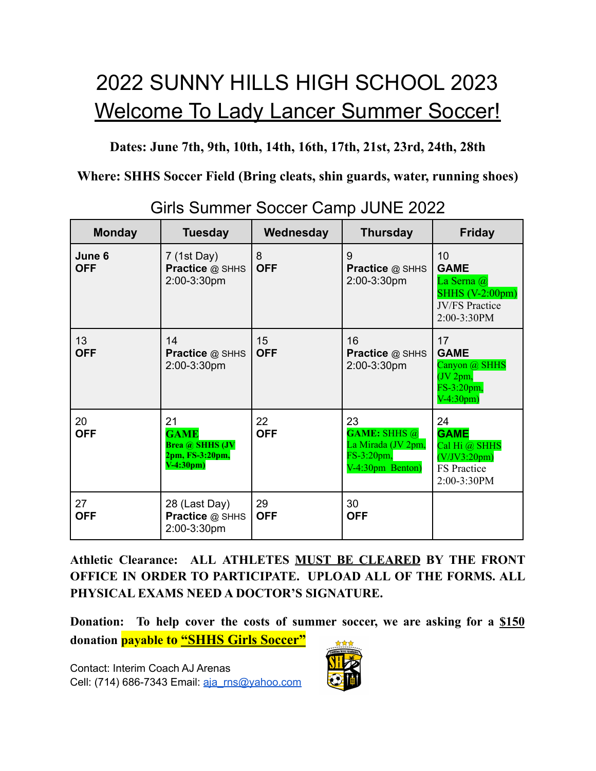## 2022 SUNNY HILLS HIGH SCHOOL 2023 Welcome To Lady Lancer Summer Soccer!

#### **Dates: June 7th, 9th, 10th, 14th, 16th, 17th, 21st, 23rd, 24th, 28th**

#### **Where: SHHS Soccer Field (Bring cleats, shin guards, water, running shoes)**

| <b>Monday</b>        | <b>Tuesday</b>                                                                | Wednesday        | <b>Thursday</b>                                                                      | <b>Friday</b>                                                                                                  |
|----------------------|-------------------------------------------------------------------------------|------------------|--------------------------------------------------------------------------------------|----------------------------------------------------------------------------------------------------------------|
| June 6<br><b>OFF</b> | 7 (1st Day)<br><b>Practice @ SHHS</b><br>2:00-3:30pm                          | 8<br><b>OFF</b>  | 9<br>Practice @ SHHS<br>2:00-3:30pm                                                  | 10<br><b>GAME</b><br>La Serna $\overline{a}$<br><b>SHHS (V-2:00pm)</b><br><b>JV/FS Practice</b><br>2:00-3:30PM |
| 13<br><b>OFF</b>     | 14<br><b>Practice @ SHHS</b><br>2:00-3:30pm                                   | 15<br><b>OFF</b> | 16<br><b>Practice @ SHHS</b><br>2:00-3:30pm                                          | 17<br><b>GAME</b><br>Canyon @ SHHS<br>$\overline{\text{JV 2pm,}}$<br>FS-3:20pm,<br>$V-4:30pm)$                 |
| 20<br><b>OFF</b>     | 21<br><b>GAME</b><br><b>Brea</b> @ SHHS (JV<br>2pm, FS-3:20pm,<br>$V-4:30pm)$ | 22<br><b>OFF</b> | 23<br><b>GAME: SHHS @</b><br>La Mirada (JV 2pm,<br>FS-3:20pm,<br>$V-4:30$ pm Benton) | 24<br><b>GAME</b><br>Cal Hi @ SHHS<br>$(V/$ JV3:20pm $)$<br><b>FS</b> Practice<br>2:00-3:30PM                  |
| 27<br><b>OFF</b>     | 28 (Last Day)<br><b>Practice @ SHHS</b><br>2:00-3:30pm                        | 29<br><b>OFF</b> | 30<br><b>OFF</b>                                                                     |                                                                                                                |

Girls Summer Soccer Camp JUNE 2022

**Athletic Clearance: ALL ATHLETES MUST BE CLEARED BY THE FRONT OFFICE IN ORDER TO PARTICIPATE. UPLOAD ALL OF THE FORMS. ALL PHYSICAL EXAMS NEED A DOCTOR'S SIGNATURE.**

**Donation: To help cover the costs of summer soccer, we are asking for a \$150 donation payable to "SHHS Girls Soccer"**

Contact: Interim Coach AJ Arenas Cell: (714) 686-7343 Email: [aja\\_rns@yahoo.com](mailto:aja_rns@yahoo.com)